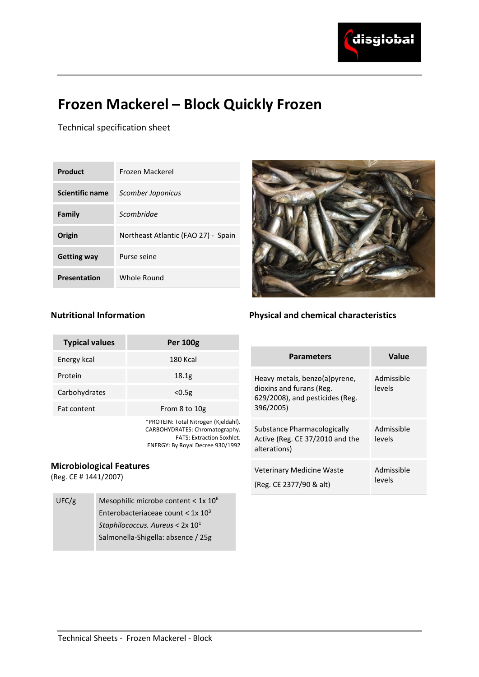

# Frozen Mackerel – Block Quickly Frozen

Technical specification sheet

Nutritional Information

| Product                | Frozen Mackerel                     |  |  |
|------------------------|-------------------------------------|--|--|
| <b>Scientific name</b> | Scomber Japonicus                   |  |  |
| Family                 | Scombridae                          |  |  |
| Origin                 | Northeast Atlantic (FAO 27) - Spain |  |  |
| <b>Getting way</b>     | Purse seine                         |  |  |
| <b>Presentation</b>    | Whole Round                         |  |  |



# Physical and chemical characteristics

| <b>Typical values</b>                                    |  | <b>Per 100g</b>                                                                                                                                |                                                      |                                                                                |                      |
|----------------------------------------------------------|--|------------------------------------------------------------------------------------------------------------------------------------------------|------------------------------------------------------|--------------------------------------------------------------------------------|----------------------|
| Energy kcal                                              |  | 180 Kcal                                                                                                                                       |                                                      | <b>Parameters</b>                                                              | <b>Value</b>         |
| Protein                                                  |  | 18.1 <sub>g</sub>                                                                                                                              | Heavy metals, benzo(a)pyrene,                        |                                                                                | Admissible           |
| Carbohydrates                                            |  | < 0.5g                                                                                                                                         |                                                      | dioxins and furans (Reg.<br>levels<br>629/2008), and pesticides (Reg.          |                      |
| Fat content                                              |  | From 8 to 10g                                                                                                                                  | 396/2005)                                            |                                                                                |                      |
|                                                          |  | *PROTEIN: Total Nitrogen (Kjeldahl).<br>CARBOHYDRATES: Chromatography.<br><b>FATS: Extraction Soxhlet.</b><br>ENERGY: By Royal Decree 930/1992 |                                                      | Substance Pharmacologically<br>Active (Reg. CE 37/2010 and the<br>alterations) | Admissible<br>levels |
| <b>Microbiological Features</b><br>(Reg. CE # 1441/2007) |  |                                                                                                                                                | Veterinary Medicine Waste<br>(Reg. CE 2377/90 & alt) | Admissible<br>levels                                                           |                      |
| UFC/g                                                    |  | Mesophilic microbe content $< 1x 10^6$<br>Enterobacteriaceae count $< 1x 103$<br>Staphilococcus. Aureus < $2x 101$                             |                                                      |                                                                                |                      |

Salmonella-Shigella: absence / 25g